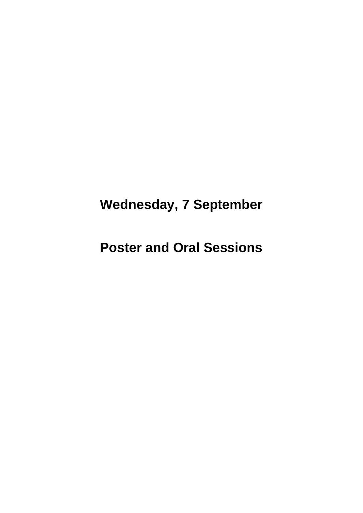# **Wednesday, 7 September**

# **Poster and Oral Sessions**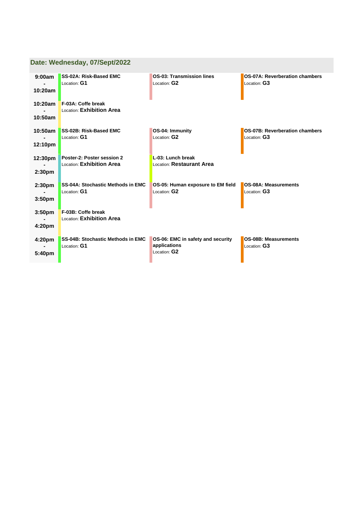| Date: Wednesday, 07/Sept/2022 |                                                          |                                                                   |                                             |  |  |
|-------------------------------|----------------------------------------------------------|-------------------------------------------------------------------|---------------------------------------------|--|--|
| 9:00am                        | SS-02A: Risk-Based EMC                                   | OS-03: Transmission lines                                         | OS-07A: Reverberation chambers              |  |  |
| 10:20am                       | Location: G1                                             | Location: G2                                                      | Location: G3                                |  |  |
| 10:20am<br>10:50am            | F-03A: Coffe break<br>Location: Exhibition Area          |                                                                   |                                             |  |  |
| 10:50am                       | SS-02B: Risk-Based EMC                                   | OS-04: Immunity                                                   | OS-07B: Reverberation chambers              |  |  |
| 12:10pm                       | Location: G1                                             | Location: G2                                                      | Location: G3                                |  |  |
| 12:30pm                       | Poster-2: Poster session 2                               | L-03: Lunch break                                                 |                                             |  |  |
| 2:30 <sub>pm</sub>            | Location: Exhibition Area                                | Location: Restaurant Area                                         |                                             |  |  |
| 2:30 <sub>pm</sub>            | <b>SS-04A: Stochastic Methods in EMC</b>                 | OS-05: Human exposure to EM field                                 | OS-08A: Measurements                        |  |  |
| 3:50 <sub>pm</sub>            | Location: G1                                             | Location: G2                                                      | Location: G3                                |  |  |
| 3:50 <sub>pm</sub><br>4:20pm  | F-03B: Coffe break<br>Location: Exhibition Area          |                                                                   |                                             |  |  |
| 4:20pm<br>5:40pm              | <b>SS-04B: Stochastic Methods in EMC</b><br>Location: G1 | OS-06: EMC in safety and security<br>applications<br>Location: G2 | <b>OS-08B: Measurements</b><br>Location: G3 |  |  |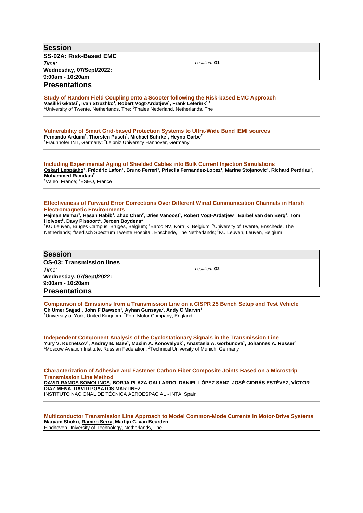| <b>Session</b>                                                                                                                                                                                                                                                                                                                                                                                                                                                                                                                                                                                                                                                                                               |  |  |  |
|--------------------------------------------------------------------------------------------------------------------------------------------------------------------------------------------------------------------------------------------------------------------------------------------------------------------------------------------------------------------------------------------------------------------------------------------------------------------------------------------------------------------------------------------------------------------------------------------------------------------------------------------------------------------------------------------------------------|--|--|--|
| SS-02A: Risk-Based EMC                                                                                                                                                                                                                                                                                                                                                                                                                                                                                                                                                                                                                                                                                       |  |  |  |
| Location: G1<br>Time:                                                                                                                                                                                                                                                                                                                                                                                                                                                                                                                                                                                                                                                                                        |  |  |  |
| Wednesday, 07/Sept/2022:                                                                                                                                                                                                                                                                                                                                                                                                                                                                                                                                                                                                                                                                                     |  |  |  |
| $9:00$ am - 10:20am                                                                                                                                                                                                                                                                                                                                                                                                                                                                                                                                                                                                                                                                                          |  |  |  |
| <b>Presentations</b>                                                                                                                                                                                                                                                                                                                                                                                                                                                                                                                                                                                                                                                                                         |  |  |  |
| Study of Random Field Coupling onto a Scooter following the Risk-based EMC Approach<br>Vasiliki Gkatsi <sup>1</sup> , Ivan Struzhko <sup>1</sup> , Robert Vogt-Ardatjew <sup>1</sup> , Frank Leferink <sup>1,2</sup><br><sup>1</sup> University of Twente, Netherlands, The; <sup>2</sup> Thales Nederland, Netherlands, The                                                                                                                                                                                                                                                                                                                                                                                 |  |  |  |
| <b>Vulnerability of Smart Grid-based Protection Systems to Ultra-Wide Band IEMI sources</b><br>Fernando Arduini <sup>1</sup> , Thorsten Pusch <sup>1</sup> , Michael Suhrke <sup>1</sup> , Heyno Garbe <sup>2</sup><br><sup>1</sup> Fraunhofer INT, Germany; <sup>2</sup> Leibniz University Hannover, Germany                                                                                                                                                                                                                                                                                                                                                                                               |  |  |  |
| Including Experimental Aging of Shielded Cables into Bulk Current Injection Simulations<br>Oskari Leppäaho <sup>1</sup> , Frédéric Lafon <sup>1</sup> , Bruno Ferreri <sup>1</sup> , Priscila Fernandez-Lopez <sup>1</sup> , Marine Stojanovic <sup>1</sup> , Richard Perdriau <sup>2</sup> ,<br>Mohammed Ramdani <sup>2</sup><br><sup>1</sup> Valeo, France; <sup>2</sup> ESEO, France                                                                                                                                                                                                                                                                                                                      |  |  |  |
| Effectiveness of Forward Error Corrections Over Different Wired Communication Channels in Harsh<br><b>Electromagnetic Environments</b><br>Pejman Memar <sup>1</sup> , Hasan Habib <sup>1</sup> , Zhao Chen <sup>2</sup> , Dries Vanoost <sup>1</sup> , Robert Vogt-Ardatjew <sup>3</sup> , Bärbel van den Berg <sup>4</sup> , Tom<br>Holvoet <sup>5</sup> , Davy Pissoort <sup>1</sup> , Jeroen Boydens <sup>1</sup><br><sup>1</sup> KU Leuven, Bruges Campus, Bruges, Belgium; <sup>2</sup> Barco NV, Kortrijk, Belgium; <sup>3</sup> University of Twente, Enschede, The<br>Netherlands; <sup>4</sup> Medisch Spectrum Twente Hospital, Enschede, The Netherlands; <sup>5</sup> KU Leuven, Leuven, Belgium |  |  |  |
| <b>Session</b>                                                                                                                                                                                                                                                                                                                                                                                                                                                                                                                                                                                                                                                                                               |  |  |  |
| OS-03: Transmission lines                                                                                                                                                                                                                                                                                                                                                                                                                                                                                                                                                                                                                                                                                    |  |  |  |
| Location: G2<br>Time:                                                                                                                                                                                                                                                                                                                                                                                                                                                                                                                                                                                                                                                                                        |  |  |  |
| Wednesday, 07/Sept/2022:                                                                                                                                                                                                                                                                                                                                                                                                                                                                                                                                                                                                                                                                                     |  |  |  |
| 9:00am - 10:20am                                                                                                                                                                                                                                                                                                                                                                                                                                                                                                                                                                                                                                                                                             |  |  |  |
| <b>Presentations</b>                                                                                                                                                                                                                                                                                                                                                                                                                                                                                                                                                                                                                                                                                         |  |  |  |
| <b>Comparison of Emissions from a Transmission Line on a CISPR 25 Bench Setup and Test Vehicle</b><br>Ch Umer Sajjad <sup>1</sup> , John F Dawson <sup>1</sup> , Ayhan Gunsaya <sup>2</sup> , Andy C Marvin <sup>1</sup><br>University of York, United Kingdom; <sup>2</sup> Ford Motor Company, England                                                                                                                                                                                                                                                                                                                                                                                                     |  |  |  |
| Independent Component Analysis of the Cyclostationary Signals in the Transmission Line<br>Yury V. Kuznetsov <sup>1</sup> , Andrey B. Baev <sup>1</sup> , Maxim A. Konovalyuk <sup>1</sup> , Anastasia A. Gorbunova <sup>1</sup> , Johannes A. Russer <sup>2</sup><br><sup>1</sup> Moscow Aviation Institute, Russian Federation; <sup>2</sup> Technical University of Munich, Germany                                                                                                                                                                                                                                                                                                                        |  |  |  |
| <b>Characterization of Adhesive and Fastener Carbon Fiber Composite Joints Based on a Microstrip</b><br><b>Transmission Line Method</b><br>DAVID RAMOS SOMOLINOS, BORJA PLAZA GALLARDO, DANIEL LÓPEZ SANZ, JOSÉ CIDRÁS ESTÉVEZ, VÍCTOR<br>DÍAZ MENA, DAVID POYATOS MARTÍNEZ<br>INSTITUTO NACIONAL DE TÉCNICA AEROESPACIAL - INTA, Spain                                                                                                                                                                                                                                                                                                                                                                      |  |  |  |
| <b>Multiconductor Transmission Line Approach to Model Common-Mode Currents in Motor-Drive Systems</b><br>Maryam Shokri, Ramiro Serra, Martijn C. van Beurden<br>Eindhoven University of Technology, Netherlands, The                                                                                                                                                                                                                                                                                                                                                                                                                                                                                         |  |  |  |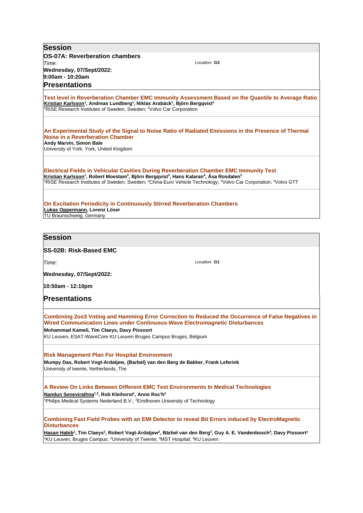| Session                                                                                                        |                                                                                                                                                                                                                                                                                                                                                                                                                  |
|----------------------------------------------------------------------------------------------------------------|------------------------------------------------------------------------------------------------------------------------------------------------------------------------------------------------------------------------------------------------------------------------------------------------------------------------------------------------------------------------------------------------------------------|
| <b>OS-07A: Reverberation chambers</b>                                                                          |                                                                                                                                                                                                                                                                                                                                                                                                                  |
| Time:<br>Wednesday, 07/Sept/2022:                                                                              | Location: G3                                                                                                                                                                                                                                                                                                                                                                                                     |
| $9:00$ am - 10:20am                                                                                            |                                                                                                                                                                                                                                                                                                                                                                                                                  |
| <b>Presentations</b>                                                                                           |                                                                                                                                                                                                                                                                                                                                                                                                                  |
| RISE Research Institutes of Sweden, Sweden; <sup>2</sup> Volvo Car Corporation                                 | Test level in Reverberation Chamber EMC Immunity Assessment Based on the Quantile to Average Ratio<br>Kristian Karlsson <sup>1</sup> , Andreas Lundberg <sup>1</sup> , Niklas Arabäck <sup>1</sup> , Björn Berggvist <sup>2</sup>                                                                                                                                                                                |
| Noise in a Reverberation Chamber<br><b>Andy Marvin, Simon Bale</b><br>University of York, York, United Kingdom | An Experimental Study of the Signal to Noise Ratio of Radiated Emissions in the Presence of Thermal                                                                                                                                                                                                                                                                                                              |
|                                                                                                                | Electrical Fields in Vehicular Cavities During Reverberation Chamber EMC Immunity Test<br>Kristian Karlsson <sup>1</sup> , Robert Moestam <sup>2</sup> , Björn Bergqvist <sup>3</sup> , Hans Kalaran <sup>4</sup> , Åsa Rosdalen <sup>3</sup><br><sup>1</sup> RISE Research Institutes of Sweden, Sweden; <sup>2</sup> China-Euro Vehicle Technology; <sup>3</sup> Volvo Car Corporation; <sup>4</sup> Volvo GTT |
| Lukas Oppermann, Lorenz Löser<br>TU Braunschweig, Germany                                                      | <b>On Excitation Periodicity in Continuously Stirred Reverberation Chambers</b>                                                                                                                                                                                                                                                                                                                                  |
|                                                                                                                |                                                                                                                                                                                                                                                                                                                                                                                                                  |
| <b>Session</b>                                                                                                 |                                                                                                                                                                                                                                                                                                                                                                                                                  |
| <b>SS-02B: Risk-Based EMC</b>                                                                                  |                                                                                                                                                                                                                                                                                                                                                                                                                  |
| Time:                                                                                                          | Location: G1                                                                                                                                                                                                                                                                                                                                                                                                     |

**Wednesday, 07/Sept/2022:** 

**10:50am - 12:10pm**

**Presentations**

**Combining 2oo3 Voting and Hamming Error Correction to Reduced the Occurrence of False Negatives in Wired Communication Lines under Continuous-Wave Electromagnetic Disturbances**

**Mohammad Kameli, Tim Claeys, Davy Pissoort**

KU Leuven, ESAT-WaveCore KU Leuven Bruges Campus Bruges, Belgium

**Risk Management Plan For Hospital Environment Mumpy Das, Robert Vogt-Ardatjew, {Barbel} van den Berg de Bakker, Frank Leferink** University of twente, Netherlands, The

**A Review On Links Between Different EMC Test Environments In Medical Technologies Nandun Senevirathna1,2, Rob Kleihorst<sup>1</sup> , Anne Roc'h<sup>2</sup>**

<sup>1</sup>Philips Medical Systems Nederland B.V.; <sup>2</sup>Eindhoven University of Technology

**Combining Fast Field Probes with an EMI Detector to reveal Bit Errors induced by ElectroMagnetic Disturbances**

**Hasan Habib<sup>1</sup> , Tim Claeys<sup>1</sup> , Robert Vogt-Ardatjew<sup>2</sup> , Bärbel van den Berg<sup>3</sup> , Guy A. E. Vandenbosch<sup>4</sup> , Davy Pissoort<sup>1</sup>** 1KU Leuven, Bruges Campus; 2University of Twente; 3MST Hospital; 4KU Leuven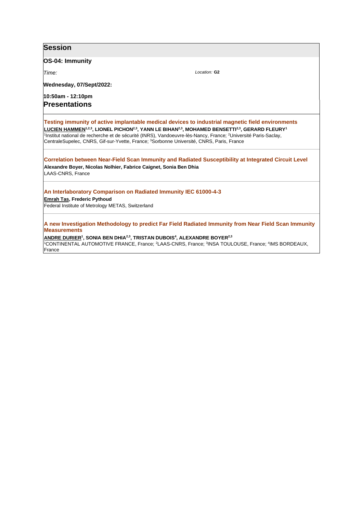### **Session**

### **OS-04: Immunity**

*Time:* 

**Wednesday, 07/Sept/2022:** 

**10:50am - 12:10pm Presentations**

**Testing immunity of active implantable medical devices to industrial magnetic field environments LUCIEN HAMMEN1,2,3, LIONEL PICHON2,3, YANN LE BIHAN2,3, MOHAMED BENSETTI2,3, GERARD FLEURY<sup>1</sup>** <sup>1</sup>Institut national de recherche et de sécurité (INRS), Vandoeuvre-lès-Nancy, France; <sup>2</sup>Université Paris-Saclay, CentraleSupelec, CNRS, Gif-sur-Yvette, France; <sup>3</sup>Sorbonne Université, CNRS, Paris, France

*Location:* **G2**

**Correlation between Near-Field Scan Immunity and Radiated Susceptibility at Integrated Circuit Level Alexandre Boyer, Nicolas Nolhier, Fabrice Caignet, Sonia Ben Dhia** LAAS-CNRS, France

#### **An Interlaboratory Comparison on Radiated Immunity IEC 61000-4-3**

**Emrah Tas, Frederic Pythoud**

Federal Institute of Metrology METAS, Switzerland

**A new Investigation Methodology to predict Far Field Radiated Immunity from Near Field Scan Immunity Measurements**

**ANDRE DURIER<sup>1</sup> , SONIA BEN DHIA2,3, TRISTAN DUBOIS<sup>4</sup> , ALEXANDRE BOYER2,3** <sup>1</sup>CONTINENTAL AUTOMOTIVE FRANCE, France; <sup>2</sup>LAAS-CNRS, France; <sup>3</sup> INSA TOULOUSE, France; <sup>4</sup> IMS BORDEAUX, France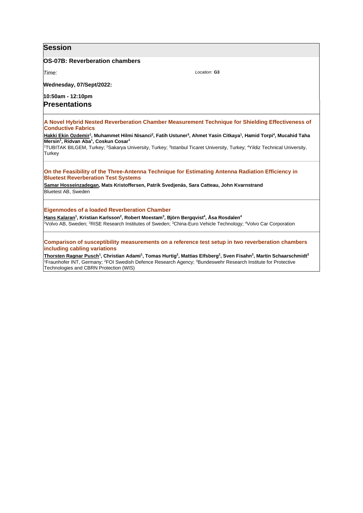## **Session**

#### **OS-07B: Reverberation chambers**

*Time:* 

**Wednesday, 07/Sept/2022:** 

**10:50am - 12:10pm Presentations**

**A Novel Hybrid Nested Reverberation Chamber Measurement Technique for Shielding Effectiveness of Conductive Fabrics**

*Location:* **G3**

**Hakki Ekin Ozdemir<sup>1</sup> , Muhammet Hilmi Nisanci<sup>2</sup> , Fatih Ustuner<sup>3</sup> , Ahmet Yasin Citkaya<sup>1</sup> , Hamid Torpi<sup>4</sup> , Mucahid Taha Mersin<sup>1</sup> , Ridvan Aba<sup>1</sup> , Coskun Cosar<sup>1</sup>**

<sup>1</sup>TUBITAK BILGEM, Turkey; <sup>2</sup>Sakarya University, Turkey; <sup>3</sup>Istanbul Ticaret University, Turkey; <sup>4</sup>Yildiz Technical University, **Turkey** 

#### **On the Feasibility of the Three-Antenna Technique for Estimating Antenna Radiation Efficiency in Bluetest Reverberation Test Systems**

**Samar Hosseinzadegan, Mats Kristoffersen, Patrik Svedjenäs, Sara Catteau, John Kvarnstrand** Bluetest AB, Sweden

**Eigenmodes of a loaded Reverberation Chamber**

**Hans Kalaran<sup>1</sup> , Kristian Karlsson<sup>2</sup> , Robert Moestam<sup>3</sup> , Björn Bergqvist<sup>4</sup> , Åsa Rosdalen<sup>4</sup>** <sup>1</sup>Volvo AB, Sweden; <sup>2</sup>RISE Research Institutes of Sweden; <sup>3</sup>China-Euro Vehicle Technology; <sup>4</sup>Volvo Car Corporation

**Comparison of susceptibility measurements on a reference test setup in two reverberation chambers including cabling variations**

**Thorsten Ragnar Pusch<sup>1</sup> , Christian Adami<sup>1</sup> , Tomas Hurtig<sup>2</sup> , Mattias Elfsberg<sup>2</sup> , Sven Fisahn<sup>3</sup> , Martin Schaarschmidt<sup>3</sup>** 1Fraunhofer INT, Germany; <sup>2</sup>FOI Swedish Defence Research Agency; <sup>3</sup>Bundeswehr Research Institute for Protective Technologies and CBRN Protection (WIS)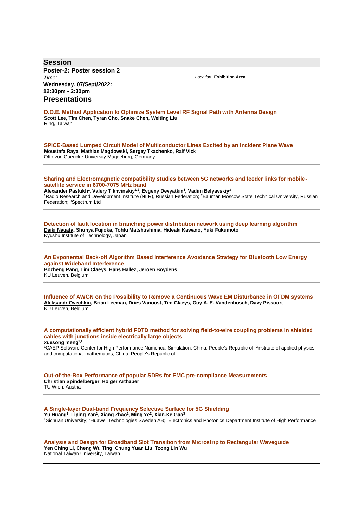| <b>Session</b>                                                                                                                                                                                                                                                                                                                                                                                                                                                                   |
|----------------------------------------------------------------------------------------------------------------------------------------------------------------------------------------------------------------------------------------------------------------------------------------------------------------------------------------------------------------------------------------------------------------------------------------------------------------------------------|
| Poster-2: Poster session 2                                                                                                                                                                                                                                                                                                                                                                                                                                                       |
| Time:<br>Location: Exhibition Area                                                                                                                                                                                                                                                                                                                                                                                                                                               |
| Wednesday, 07/Sept/2022:<br>12:30pm - 2:30pm                                                                                                                                                                                                                                                                                                                                                                                                                                     |
| <b>Presentations</b>                                                                                                                                                                                                                                                                                                                                                                                                                                                             |
|                                                                                                                                                                                                                                                                                                                                                                                                                                                                                  |
| D.O.E. Method Application to Optimize System Level RF Signal Path with Antenna Design<br>Scott Lee, Tim Chen, Tyran Cho, Snake Chen, Weiting Liu<br>Ring, Taiwan                                                                                                                                                                                                                                                                                                                 |
| SPICE-Based Lumped Circuit Model of Multiconductor Lines Excited by an Incident Plane Wave<br>Moustafa Raya, Mathias Magdowski, Sergey Tkachenko, Ralf Vick<br>Otto von Guericke University Magdeburg, Germany                                                                                                                                                                                                                                                                   |
| Sharing and Electromagnetic compatibility studies between 5G networks and feeder links for mobile-<br>satellite service in 6700-7075 MHz band<br>Alexander Pastukh <sup>1</sup> , Valery Tikhvinskiy <sup>1,2</sup> , Evgeny Devyatkin <sup>1</sup> , Vadim Belyavskiy <sup>3</sup><br><sup>1</sup> Radio Research and Development Institute (NIIR), Russian Federation; <sup>2</sup> Bauman Moscow State Technical University, Russian<br>Federation; <sup>3</sup> Spectrum Ltd |
| Detection of fault location in branching power distribution network using deep learning algorithm<br>Daiki Nagata, Shunya Fujioka, Tohlu Matshushima, Hideaki Kawano, Yuki Fukumoto<br>Kyushu Institute of Technology, Japan                                                                                                                                                                                                                                                     |
| An Exponential Back-off Algorithm Based Interference Avoidance Strategy for Bluetooth Low Energy<br>against Wideband Interference<br>Bozheng Pang, Tim Claeys, Hans Hallez, Jeroen Boydens<br>KU Leuven, Belgium                                                                                                                                                                                                                                                                 |
| Influence of AWGN on the Possibility to Remove a Continuous Wave EM Disturbance in OFDM systems<br>Aleksandr Ovechkin, Brian Leeman, Dries Vanoost, Tim Claeys, Guy A. E. Vandenbosch, Davy Pissoort<br>KU Leuven, Belgium                                                                                                                                                                                                                                                       |
| A computationally efficient hybrid FDTD method for solving field-to-wire coupling problems in shielded<br>cables with junctions inside electrically large objects<br>xuesong meng <sup>1,2</sup><br><sup>1</sup> CAEP Software Center for High Performance Numerical Simulation, China, People's Republic of; <sup>2</sup> institute of applied physics<br>and computational mathematics, China, People's Republic of                                                            |
| Out-of-the-Box Performance of popular SDRs for EMC pre-compliance Measurements<br><b>Christian Spindelberger, Holger Arthaber</b><br>TU Wien, Austria                                                                                                                                                                                                                                                                                                                            |
| A Single-layer Dual-band Frequency Selective Surface for 5G Shielding<br>Yu Huang <sup>1</sup> , Liping Yan <sup>1</sup> , Xiang Zhao <sup>1</sup> , Ming Ye <sup>2</sup> , Xian-Ke Gao <sup>3</sup><br>Sichuan University; <sup>2</sup> Huawei Technologies Sweden AB; <sup>3</sup> Electronics and Photonics Department Institute of High Performance                                                                                                                          |
| Analysis and Design for Broadband Slot Transition from Microstrip to Rectangular Waveguide<br>Yen Ching Li, Cheng Wu Ting, Chung Yuan Liu, Tzong Lin Wu<br>National Taiwan University, Taiwan                                                                                                                                                                                                                                                                                    |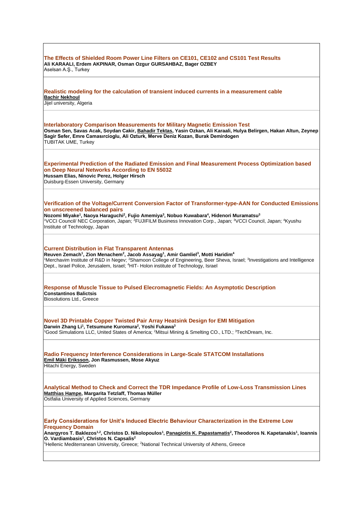| The Effects of Shielded Room Power Line Filters on CE101, CE102 and CS101 Test Results<br>Ali KARAALI, Erdem AKPINAR, Osman Ozgur GURSAHBAZ, Bager OZBEY<br>Aselsan A.S., Turkey                                                                                                                                                                                                                                                                                                                      |
|-------------------------------------------------------------------------------------------------------------------------------------------------------------------------------------------------------------------------------------------------------------------------------------------------------------------------------------------------------------------------------------------------------------------------------------------------------------------------------------------------------|
| Realistic modeling for the calculation of transient induced currents in a measurement cable<br><b>Bachir Nekhoul</b><br>Jijel university, Algeria                                                                                                                                                                                                                                                                                                                                                     |
| Interlaboratory Comparison Measurements for Military Magnetic Emission Test<br>Osman Sen, Savas Acak, Soydan Cakir, Bahadir Tektas, Yasin Ozkan, Ali Karaali, Hulya Belirgen, Hakan Altun, Zeynep<br>Sagir Sefer, Emre Camasırcioglu, Ali Ozturk, Merve Deniz Kozan, Burak Demirdogen<br>TUBITAK UME, Turkey                                                                                                                                                                                          |
| <b>Experimental Prediction of the Radiated Emission and Final Measurement Process Optimization based</b><br>on Deep Neural Networks According to EN 55032<br>Hussam Elias, Ninovic Perez, Holger Hirsch<br>Duisburg-Essen University, Germany                                                                                                                                                                                                                                                         |
| Verification of the Voltage/Current Conversion Factor of Transformer-type-AAN for Conducted Emissions<br>on unscreened balanced pairs<br>Nozomi Miyake <sup>1</sup> , Naoya Haraguchi <sup>2</sup> , Fujio Amemiya <sup>3</sup> , Nobuo Kuwabara <sup>4</sup> , Hidenori Muramatsu <sup>3</sup><br><sup>1</sup> VCCI Council/ NEC Corporation, Japan; <sup>2</sup> FUJIFILM Business Innovation Corp., Japan; <sup>3</sup> VCCI Council, Japan; <sup>4</sup> Kyushu<br>Institute of Technology, Japan |
| <b>Current Distribution in Flat Transparent Antennas</b><br>Reuven Zemach <sup>1</sup> , Zion Menachem <sup>2</sup> , Jacob Assayag <sup>1</sup> , Amir Gamliel <sup>3</sup> , Motti Haridim <sup>4</sup><br><sup>1</sup> Merchavim Institute of R&D in Negev; <sup>2</sup> Shamoon College of Engineering, Beer Sheva, Israel; <sup>3</sup> Investigations and Intelligence<br>Dept., Israel Police, Jerusalem, Israel; <sup>4</sup> HIT- Holon institute of Technology, Israel                      |
| Response of Muscle Tissue to Pulsed Elecromagnetic Fields: An Asymptotic Description<br><b>Constantinos Balictsis</b><br>Biosolutions Ltd., Greece                                                                                                                                                                                                                                                                                                                                                    |
| Novel 3D Printable Copper Twisted Pair Array Heatsink Design for EMI Mitigation<br>Darwin Zhang Li <sup>1</sup> , Tetsumune Kuromura <sup>2</sup> , Yoshi Fukawa <sup>3</sup><br><sup>1</sup> Good Simulations LLC, United States of America; <sup>2</sup> Mitsui Mining & Smelting CO., LTD.; <sup>3</sup> TechDream, Inc.                                                                                                                                                                           |
| Radio Frequency Interference Considerations in Large-Scale STATCOM Installations<br>Emil Mäki Eriksson, Jon Rasmussen, Mose Akyuz<br>Hitachi Energy, Sweden                                                                                                                                                                                                                                                                                                                                           |
| Analytical Method to Check and Correct the TDR Impedance Profile of Low-Loss Transmission Lines<br>Matthias Hampe, Margarita Tetzlaff, Thomas Müller<br>Ostfalia University of Applied Sciences, Germany                                                                                                                                                                                                                                                                                              |
| Early Considerations for Unit's Induced Electric Behaviour Characterization in the Extreme Low<br><b>Frequency Domain</b><br>Anargyros T. Baklezos <sup>1,2</sup> , Christos D. Nikolopoulos <sup>1</sup> , Panagiotis K. Papastamatis <sup>2</sup> , Theodoros N. Kapetanakis <sup>1</sup> , Ioannis<br>O. Vardiambasis <sup>1</sup> , Christos N. Capsalis <sup>2</sup><br><sup>1</sup> Hellenic Mediterranean University, Greece; <sup>2</sup> National Technical University of Athens, Greece     |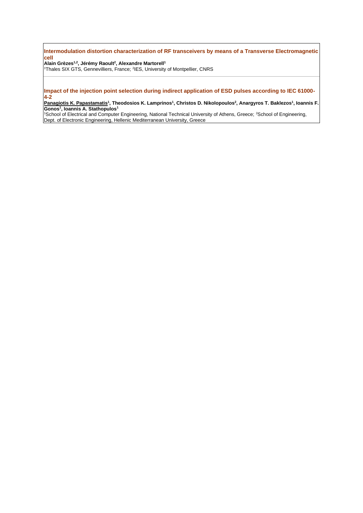**Intermodulation distortion characterization of RF transceivers by means of a Transverse Electromagnetic cell**

**Alain Grèzes1,2, Jérémy Raoult<sup>2</sup> , Alexandre Martorell<sup>1</sup>** <sup>1</sup>Thales SIX GTS, Gennevilliers, France; <sup>2</sup>IES, University of Montpellier, CNRS

#### **Impact of the injection point selection during indirect application of ESD pulses according to IEC 61000- 4-2**

**Panagiotis K. Papastamatis<sup>1</sup> , Theodosios K. Lamprinos<sup>1</sup> , Christos D. Nikolopoulos<sup>2</sup> , Anargyros T. Baklezos<sup>1</sup> , Ioannis F. Gonos<sup>1</sup> , Ioannis A. Stathopulos<sup>1</sup>**

<sup>1</sup>School of Electrical and Computer Engineering, National Technical University of Athens, Greece; <sup>2</sup>School of Engineering, Dept. of Electronic Engineering, Hellenic Mediterranean University, Greece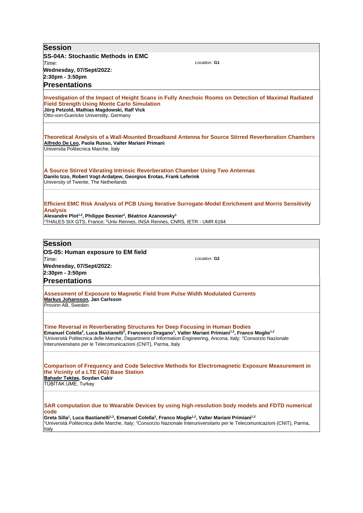| <b>Session</b>                                                                                                                                                                                                                                                                                                                                                                                                                                                       |
|----------------------------------------------------------------------------------------------------------------------------------------------------------------------------------------------------------------------------------------------------------------------------------------------------------------------------------------------------------------------------------------------------------------------------------------------------------------------|
| <b>SS-04A: Stochastic Methods in EMC</b>                                                                                                                                                                                                                                                                                                                                                                                                                             |
| Location: G1<br>Time:                                                                                                                                                                                                                                                                                                                                                                                                                                                |
| Wednesday, 07/Sept/2022:                                                                                                                                                                                                                                                                                                                                                                                                                                             |
| 2:30pm - 3:50pm                                                                                                                                                                                                                                                                                                                                                                                                                                                      |
| <b>Presentations</b>                                                                                                                                                                                                                                                                                                                                                                                                                                                 |
| Investigation of the Impact of Height Scans in Fully Anechoic Rooms on Detection of Maximal Radiated<br><b>Field Strength Using Monte Carlo Simulation</b><br>Jörg Petzold, Mathias Magdowski, Ralf Vick<br>Otto-von-Guericke Universtity, Germany                                                                                                                                                                                                                   |
| Theoretical Analysis of a Wall-Mounted Broadband Antenna for Source Stirred Reverberation Chambers<br>Alfredo De Leo, Paola Russo, Valter Mariani Primani<br>Universita Politecnica Marche, Italy                                                                                                                                                                                                                                                                    |
| A Source Stirred Vibrating Intrinsic Reverberation Chamber Using Two Antennas<br>Danilo Izzo, Robert Vogt-Ardatjew, Georgios Erotas, Frank Leferink<br>University of Twente, The Netherlands                                                                                                                                                                                                                                                                         |
| <b>Efficient EMC Risk Analysis of PCB Using Iterative Surrogate-Model Enrichment and Morris Sensitivity</b><br><b>Analysis</b><br>Alexandre Plot <sup>1,2</sup> , Philippe Besnier <sup>2</sup> , Béatrice Azanowsky <sup>1</sup><br><sup>1</sup> THALES SIX GTS, France; <sup>2</sup> Univ Rennes, INSA Rennes, CNRS, IETR - UMR 6164                                                                                                                               |
|                                                                                                                                                                                                                                                                                                                                                                                                                                                                      |
|                                                                                                                                                                                                                                                                                                                                                                                                                                                                      |
| <b>Session</b>                                                                                                                                                                                                                                                                                                                                                                                                                                                       |
| OS-05: Human exposure to EM field<br>Location: G2                                                                                                                                                                                                                                                                                                                                                                                                                    |
| Time:<br>Wednesday, 07/Sept/2022:                                                                                                                                                                                                                                                                                                                                                                                                                                    |
| 2:30pm - 3:50pm                                                                                                                                                                                                                                                                                                                                                                                                                                                      |
| <b>Presentations</b>                                                                                                                                                                                                                                                                                                                                                                                                                                                 |
| <b>Assessment of Exposure to Magnetic Field from Pulse Width Modulated Currents</b><br>Markus Johansson, Jan Carlsson<br>Provinn AB, Sweden                                                                                                                                                                                                                                                                                                                          |
| Time Reversal in Reverberating Structures for Deep Focusing in Human Bodies<br>Emanuel Colella <sup>2</sup> , Luca Bastianelli <sup>2</sup> , Francesco Dragano <sup>1</sup> , Valter Mariani Primiani <sup>1,2</sup> , Franco Moglie <sup>1,2</sup><br><sup>1</sup> Università Politecnica delle Marche, Department of Information Engineering, Ancona, Italy; <sup>2</sup> Consorzio Nazionale<br>Interuniversitario per le Telecomunicazioni (CNIT), Parma, Italy |
| <b>Comparison of Frequency and Code Selective Methods for Electromagnetic Exposure Measurement in</b><br>the Vicinity of a LTE (4G) Base Station<br>Bahadır Tektas, Soydan Cakir<br>TÜBİTAK UME, Turkey                                                                                                                                                                                                                                                              |
| SAR computation due to Wearable Devices by using high-resolution body models and FDTD numerical<br>code<br>Greta Silla <sup>1</sup> , Luca Bastianelli <sup>1,2</sup> , Emanuel Colella <sup>2</sup> , Franco Moglie <sup>1,2</sup> , Valter Mariani Primiani <sup>1,2</sup><br><sup>1</sup> Università Politecnica delle Marche, Italy; <sup>2</sup> Consorzio Nazionale Interuniversitario per le Telecomunicazioni (CNIT), Parma,<br>Italy                        |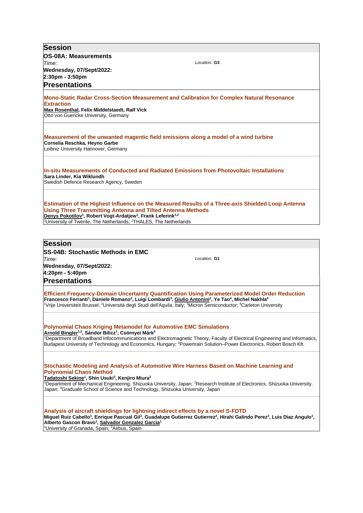| <b>Session</b>                                                                                                                                                                                                                                                                                                                                                                                                                                                          |
|-------------------------------------------------------------------------------------------------------------------------------------------------------------------------------------------------------------------------------------------------------------------------------------------------------------------------------------------------------------------------------------------------------------------------------------------------------------------------|
| OS-08A: Measurements                                                                                                                                                                                                                                                                                                                                                                                                                                                    |
| Location: G3<br>Time:                                                                                                                                                                                                                                                                                                                                                                                                                                                   |
| Wednesday, 07/Sept/2022:                                                                                                                                                                                                                                                                                                                                                                                                                                                |
| 2:30pm - 3:50pm                                                                                                                                                                                                                                                                                                                                                                                                                                                         |
| <b>Presentations</b>                                                                                                                                                                                                                                                                                                                                                                                                                                                    |
| <b>Mono-Static Radar Cross-Section Measurement and Calibration for Complex Natural Resonance</b><br><b>Extraction</b><br>Max Rosenthal, Felix Middelstaedt, Ralf Vick<br>Otto von Guericke University, Germany                                                                                                                                                                                                                                                          |
| Measurement of the unwanted magentic field emissions along a model of a wind turbine<br>Cornelia Reschka, Heyno Garbe<br>Leibniz University Hannover, Germany                                                                                                                                                                                                                                                                                                           |
| In-situ Measurements of Conducted and Radiated Emissions from Photovoltaic Installations<br>Sara Linder, Kia Wiklundh<br>Swedish Defence Research Agency, Sweden                                                                                                                                                                                                                                                                                                        |
| Estimation of the Highest Influence on the Measured Results of a Three-axis Shielded Loop Antenna<br><b>Using Three Transmitting Antenna and Tilted Antenna Methods</b><br>Denys Pokotilov <sup>1</sup> , Robert Vogt-Ardatjew <sup>1</sup> , Frank Leferink <sup>1,2</sup><br><sup>1</sup> University of Twente, The Netherlands; <sup>2</sup> THALES, The Netherlands                                                                                                 |
| <b>Session</b>                                                                                                                                                                                                                                                                                                                                                                                                                                                          |
|                                                                                                                                                                                                                                                                                                                                                                                                                                                                         |
| <b>SS-04B: Stochastic Methods in EMC</b><br>Location: G1<br>Time:                                                                                                                                                                                                                                                                                                                                                                                                       |
| Wednesday, 07/Sept/2022:                                                                                                                                                                                                                                                                                                                                                                                                                                                |
| 4:20pm - 5:40pm                                                                                                                                                                                                                                                                                                                                                                                                                                                         |
| <b>Presentations</b>                                                                                                                                                                                                                                                                                                                                                                                                                                                    |
| Efficient Frequency-Domain Uncertainty Quantification Using Parameterized Model Order Reduction<br>Francesco Ferranti <sup>1</sup> , Daniele Romano <sup>2</sup> , Luigi Lombardi <sup>3</sup> , Giulio Antonini <sup>2</sup> , Ye Tao <sup>4</sup> , Michel Nakhla <sup>4</sup><br><sup>1</sup> Vrije Universiteit Brussel; <sup>2</sup> Università degli Studi dell'Aquila, Italy; <sup>3</sup> Micron Semiconductor; <sup>4</sup> Carleton University                |
| <b>Polynomial Chaos Kriging Metamodel for Automotive EMC Simulations</b><br>Arnold Bingler <sup>1,2</sup> , Sándor Bilicz <sup>1</sup> , Csörnyei Márk <sup>2</sup><br><sup>1</sup> Department of Broadband Infocommunications and Electromagnetic Theory, Faculty of Electrical Engineering and Informatics,<br>Budapest University of Technology and Economics, Hungary; <sup>2</sup> Powertrain Solution-Power Electronics, Robert Bosch Kft.                        |
| Stochastic Modeling and Analysis of Automotive Wire Harness Based on Machine Learning and<br><b>Polynomial Chaos Method</b><br>Tadatoshi Sekine <sup>1</sup> , Shin Usuki <sup>2</sup> , Kenjiro Miura <sup>3</sup><br><sup>1</sup> Department of Mechanical Engineering, Shizuoka University, Japan; <sup>2</sup> Research Institute of Electronics, Shizuoka University,<br>Japan; <sup>3</sup> Graduate School of Science and Technology, Shizuoka University, Japan |
| Analysis of aircraft shieldings for lightning indirect effects by a novel S-FDTD<br>Miguel Ruiz Cabello <sup>1</sup> , Enrique Pascual Gil <sup>2</sup> , Guadalupe Gutierrez Gutierrez <sup>2</sup> , Hirahi Galindo Perez <sup>2</sup> , Luis Diaz Angulo <sup>1</sup> ,<br>Alberto Gascon Bravo <sup>1</sup> , Salvador Gonzalez Garcia <sup>1</sup><br><sup>1</sup> University of Granada, Spain; <sup>2</sup> Airbus, Spain                                        |